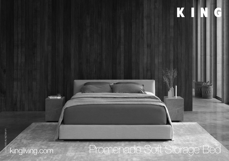# 1240-AU-NZ-NA-V1 DT2021240-AU-NZ-NA-V1 kingliving.com Promenade Soft Storage Bed $D$

K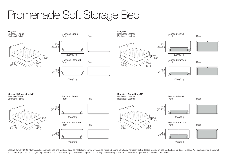## Promenade Soft Storage Bed



Effective January 2022. Mattress sold separately. Bed and Mattress sizes compatible in country or region as indicated. Some upholstery includes tricot (indicated by grey on Bedheads). Leather detail indicated. As King Livi continuous improvement, changes to products and specifications may be made without prior notice. Images and drawings are representative of design only. Accessories not included.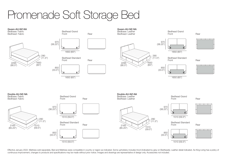## Promenade Soft Storage Bed



Effective January 2022. Mattress sold separately. Bed and Mattress sizes compatible in country or region as indicated. Some upholstery includes tricot (indicated by grey on Bedheads). Leather detail indicated. As King Livi continuous improvement, changes to products and specifications may be made without prior notice. Images and drawings are representative of design only. Accessories not included.